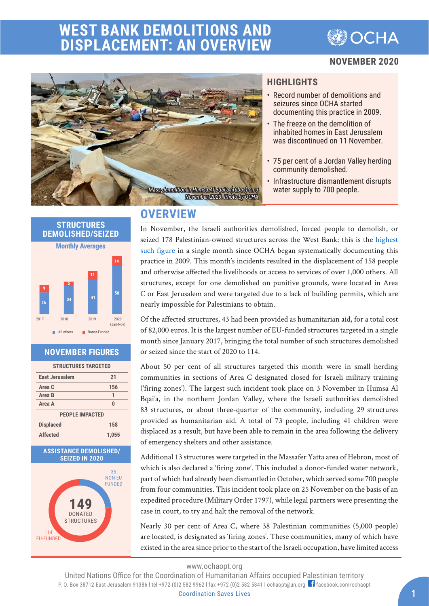# **WEST BANK DEMOLITIONS AND DISPLACEMENT: AN OVERVIEW**

#### **NOVEMBER 2020**

**OCHA** 



#### **HIGHLIGHTS**

- Record number of demolitions and seizures since OCHA started documenting this practice in 2009.
- The freeze on the demolition of inhabited homes in East Jerusalem was discontinued on 11 November.
- 75 per cent of a Jordan Valley herding community demolished.
- Infrastructure dismantlement disrupts water supply to 700 people.

#### **STRUCTURES DEMOLISHED/SEIZED Monthly Averages All others** Donor-Funded **<sup>58</sup> <sup>41</sup> <sup>34</sup> <sup>26</sup> 14 5 9** 2020 (Jan-Nov) 2017 2018 2019

#### **NOVEMBER FIGURES**

| <b>STRUCTURES TARGETED</b> |       |  |  |  |
|----------------------------|-------|--|--|--|
| <b>East Jerusalem</b>      | 21    |  |  |  |
| Area C                     | 156   |  |  |  |
| Area B                     |       |  |  |  |
| Area A                     |       |  |  |  |
| <b>PEOPLE IMPACTED</b>     |       |  |  |  |
| <b>Displaced</b>           | 158   |  |  |  |
| <b>Affected</b>            | 1.055 |  |  |  |

#### **ASSISTANCE DEMOLISHED/ SEIZED IN 2020**



## **OVERVIEW**

In November, the Israeli authorities demolished, forced people to demolish, or seized 178 Palestinian-owned structures across the West Bank: this is the [highest](https://www.ochaopt.org/data/demolition)  [such figure](https://www.ochaopt.org/data/demolition) in a single month since OCHA began systematically documenting this practice in 2009. This month's incidents resulted in the displacement of 158 people and otherwise affected the livelihoods or access to services of over 1,000 others. All structures, except for one demolished on punitive grounds, were located in Area C or East Jerusalem and were targeted due to a lack of building permits, which are nearly impossible for Palestinians to obtain.

Of the affected structures, 43 had been provided as humanitarian aid, for a total cost of 82,000 euros. It is the largest number of EU-funded structures targeted in a single month since January 2017, bringing the total number of such structures demolished or seized since the start of 2020 to 114.

About 50 per cent of all structures targeted this month were in small herding communities in sections of Area C designated closed for Israeli military training ('firing zones'). The largest such incident took place on 3 November in Humsa Al Bqai'a, in the northern Jordan Valley, where the Israeli authorities demolished 83 structures, or about three-quarter of the community, including 29 structures provided as humanitarian aid. A total of 73 people, including 41 children were displaced as a result, but have been able to remain in the area following the delivery of emergency shelters and other assistance.

Additional 13 structures were targeted in the Massafer Yatta area of Hebron, most of which is also declared a 'firing zone'. This included a donor-funded water network, part of which had already been dismantled in October, which served some 700 people from four communities. This incident took place on 25 November on the basis of an expedited procedure (Military Order 1797), while legal partners were presenting the case in court, to try and halt the removal of the network.

Nearly 30 per cent of Area C, where 38 Palestinian communities (5,000 people) are located, is designated as 'firing zones'. These communities, many of which have existed in the area since prior to the start of the Israeli occupation, have limited access

www.ochaopt.org

United Nations Office for the Coordination of Humanitarian Affairs occupied Palestinian territory

P. O. Box 38712 East Jerusalem 91386 l tel +972 (0)2 582 9962 l fax +972 (0)2 582 5841 l ochaopt@un.org **f** facebook.com/ochaopt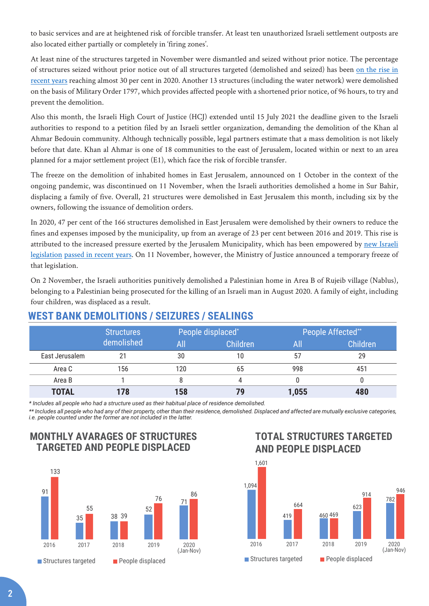to basic services and are at heightened risk of forcible transfer. At least ten unauthorized Israeli settlement outposts are also located either partially or completely in 'firing zones'.

At least nine of the structures targeted in November were dismantled and seized without prior notice. The percentage of structures seized without prior notice out of all structures targeted (demolished and seized) has been [on the rise in](https://www.ochaopt.org/content/peak-demolitions-and-confiscations-amidst-increasing-denial-right-justice#ftn18)  [recent years](https://www.ochaopt.org/content/peak-demolitions-and-confiscations-amidst-increasing-denial-right-justice#ftn18) reaching almost 30 per cent in 2020. Another 13 structures (including the water network) were demolished on the basis of Military Order 1797, which provides affected people with a shortened prior notice, of 96 hours, to try and prevent the demolition.

Also this month, the Israeli High Court of Justice (HCJ) extended until 15 July 2021 the deadline given to the Israeli authorities to respond to a petition filed by an Israeli settler organization, demanding the demolition of the Khan al Ahmar Bedouin community. Although technically possible, legal partners estimate that a mass demolition is not likely before that date. Khan al Ahmar is one of 18 communities to the east of Jerusalem, located within or next to an area planned for a major settlement project (E1), which face the risk of forcible transfer.

The freeze on the demolition of inhabited homes in East Jerusalem, announced on 1 October in the context of the ongoing pandemic, was discontinued on 11 November, when the Israeli authorities demolished a home in Sur Bahir, displacing a family of five. Overall, 21 structures were demolished in East Jerusalem this month, including six by the owners, following the issuance of demolition orders.

In 2020, 47 per cent of the 166 structures demolished in East Jerusalem were demolished by their owners to reduce the fines and expenses imposed by the municipality, up from an average of 23 per cent between 2016 and 2019. This rise is attributed to the increased pressure exerted by the Jerusalem Municipality, which has been empowered by [new Israeli](https://www.ochaopt.org/content/peak-demolitions-and-confiscations-amidst-increasing-denial-right-justice#ftn18)  [legislation](https://www.ochaopt.org/content/peak-demolitions-and-confiscations-amidst-increasing-denial-right-justice#ftn18) [passed in recent years.](https://www.ochaopt.org/content/peak-demolitions-and-confiscations-amidst-increasing-denial-right-justice#ftn18) On 11 November, however, the Ministry of Justice announced a temporary freeze of that legislation.

On 2 November, the Israeli authorities punitively demolished a Palestinian home in Area B of Rujeib village (Nablus), belonging to a Palestinian being prosecuted for the killing of an Israeli man in August 2020. A family of eight, including four children, was displaced as a result.

|                | <b>Structures</b> |     | People displaced* |       | People Affected** |
|----------------|-------------------|-----|-------------------|-------|-------------------|
|                | demolished        | All | <b>Children</b>   | All   | Children          |
| East Jerusalem |                   | 30  | 10                | 57    | 29                |
| Area C         | 156               | 120 | 65                | 998   | 451               |
| Area B         |                   |     | 4                 |       |                   |
| <b>TOTAL</b>   | 178               | 158 |                   | 1,055 | 480               |

### **WEST BANK DEMOLITIONS / SEIZURES / SEALINGS**

*\* Includes all people who had a structure used as their habitual place of residence demolished.*

*\*\* Includes all people who had any of their property, other than their residence, demolished. Displaced and affected are mutually exclusive categories, i.e. people counted under the former are not included in the latter.*

#### **MONTHLY AVARAGES OF STRUCTURES TARGETED AND PEOPLE DISPLACED**



### **TOTAL STRUCTURES TARGETED AND PEOPLE DISPLACED**